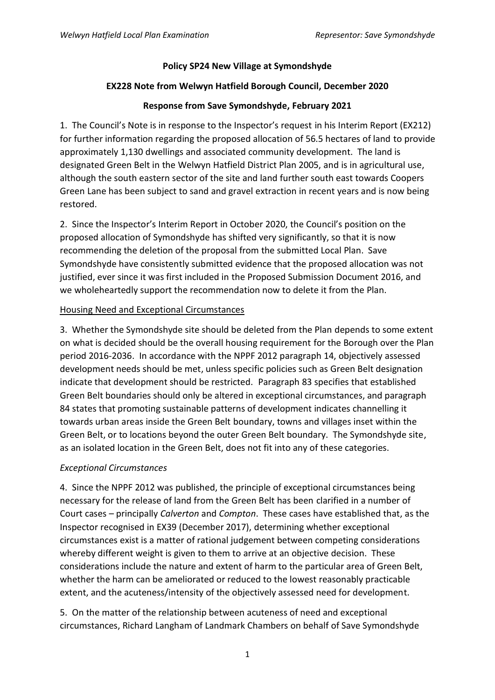#### **Policy SP24 New Village at Symondshyde**

### **EX228 Note from Welwyn Hatfield Borough Council, December 2020**

# **Response from Save Symondshyde, February 2021**

1. The Council's Note is in response to the Inspector's request in his Interim Report (EX212) for further information regarding the proposed allocation of 56.5 hectares of land to provide approximately 1,130 dwellings and associated community development. The land is designated Green Belt in the Welwyn Hatfield District Plan 2005, and is in agricultural use, although the south eastern sector of the site and land further south east towards Coopers Green Lane has been subject to sand and gravel extraction in recent years and is now being restored.

2. Since the Inspector's Interim Report in October 2020, the Council's position on the proposed allocation of Symondshyde has shifted very significantly, so that it is now recommending the deletion of the proposal from the submitted Local Plan. Save Symondshyde have consistently submitted evidence that the proposed allocation was not justified, ever since it was first included in the Proposed Submission Document 2016, and we wholeheartedly support the recommendation now to delete it from the Plan.

# Housing Need and Exceptional Circumstances

3. Whether the Symondshyde site should be deleted from the Plan depends to some extent on what is decided should be the overall housing requirement for the Borough over the Plan period 2016-2036. In accordance with the NPPF 2012 paragraph 14, objectively assessed development needs should be met, unless specific policies such as Green Belt designation indicate that development should be restricted. Paragraph 83 specifies that established Green Belt boundaries should only be altered in exceptional circumstances, and paragraph 84 states that promoting sustainable patterns of development indicates channelling it towards urban areas inside the Green Belt boundary, towns and villages inset within the Green Belt, or to locations beyond the outer Green Belt boundary. The Symondshyde site, as an isolated location in the Green Belt, does not fit into any of these categories.

#### *Exceptional Circumstances*

4. Since the NPPF 2012 was published, the principle of exceptional circumstances being necessary for the release of land from the Green Belt has been clarified in a number of Court cases – principally *Calverton* and *Compton*. These cases have established that, as the Inspector recognised in EX39 (December 2017), determining whether exceptional circumstances exist is a matter of rational judgement between competing considerations whereby different weight is given to them to arrive at an objective decision. These considerations include the nature and extent of harm to the particular area of Green Belt, whether the harm can be ameliorated or reduced to the lowest reasonably practicable extent, and the acuteness/intensity of the objectively assessed need for development.

5. On the matter of the relationship between acuteness of need and exceptional circumstances, Richard Langham of Landmark Chambers on behalf of Save Symondshyde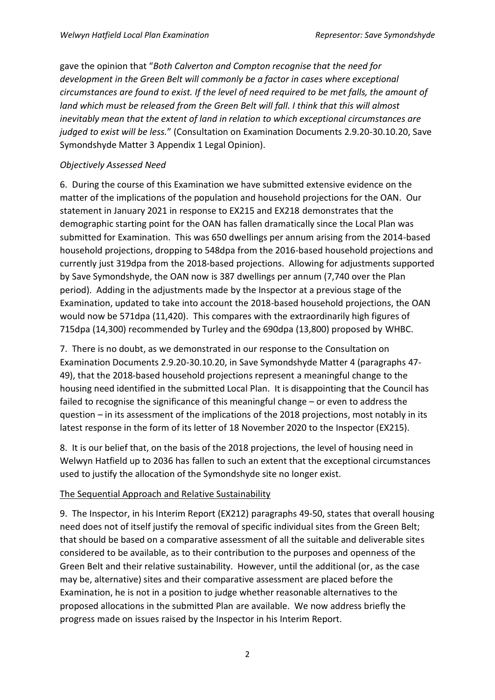gave the opinion that "*Both Calverton and Compton recognise that the need for development in the Green Belt will commonly be a factor in cases where exceptional circumstances are found to exist. If the level of need required to be met falls, the amount of land which must be released from the Green Belt will fall. I think that this will almost inevitably mean that the extent of land in relation to which exceptional circumstances are judged to exist will be less.*" (Consultation on Examination Documents 2.9.20-30.10.20, Save Symondshyde Matter 3 Appendix 1 Legal Opinion).

#### *Objectively Assessed Need*

6. During the course of this Examination we have submitted extensive evidence on the matter of the implications of the population and household projections for the OAN. Our statement in January 2021 in response to EX215 and EX218 demonstrates that the demographic starting point for the OAN has fallen dramatically since the Local Plan was submitted for Examination. This was 650 dwellings per annum arising from the 2014-based household projections, dropping to 548dpa from the 2016-based household projections and currently just 319dpa from the 2018-based projections. Allowing for adjustments supported by Save Symondshyde, the OAN now is 387 dwellings per annum (7,740 over the Plan period). Adding in the adjustments made by the Inspector at a previous stage of the Examination, updated to take into account the 2018-based household projections, the OAN would now be 571dpa (11,420). This compares with the extraordinarily high figures of 715dpa (14,300) recommended by Turley and the 690dpa (13,800) proposed by WHBC.

7. There is no doubt, as we demonstrated in our response to the Consultation on Examination Documents 2.9.20-30.10.20, in Save Symondshyde Matter 4 (paragraphs 47- 49), that the 2018-based household projections represent a meaningful change to the housing need identified in the submitted Local Plan. It is disappointing that the Council has failed to recognise the significance of this meaningful change – or even to address the question – in its assessment of the implications of the 2018 projections, most notably in its latest response in the form of its letter of 18 November 2020 to the Inspector (EX215).

8. It is our belief that, on the basis of the 2018 projections, the level of housing need in Welwyn Hatfield up to 2036 has fallen to such an extent that the exceptional circumstances used to justify the allocation of the Symondshyde site no longer exist.

#### The Sequential Approach and Relative Sustainability

9. The Inspector, in his Interim Report (EX212) paragraphs 49-50, states that overall housing need does not of itself justify the removal of specific individual sites from the Green Belt; that should be based on a comparative assessment of all the suitable and deliverable sites considered to be available, as to their contribution to the purposes and openness of the Green Belt and their relative sustainability. However, until the additional (or, as the case may be, alternative) sites and their comparative assessment are placed before the Examination, he is not in a position to judge whether reasonable alternatives to the proposed allocations in the submitted Plan are available. We now address briefly the progress made on issues raised by the Inspector in his Interim Report.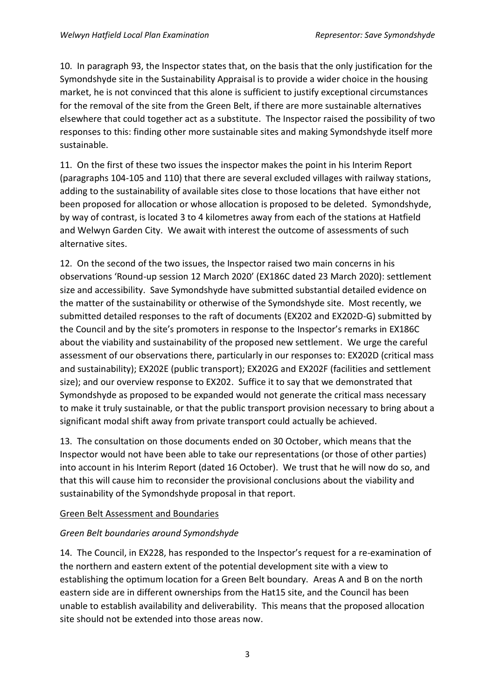10. In paragraph 93, the Inspector states that, on the basis that the only justification for the Symondshyde site in the Sustainability Appraisal is to provide a wider choice in the housing market, he is not convinced that this alone is sufficient to justify exceptional circumstances for the removal of the site from the Green Belt, if there are more sustainable alternatives elsewhere that could together act as a substitute. The Inspector raised the possibility of two responses to this: finding other more sustainable sites and making Symondshyde itself more sustainable.

11. On the first of these two issues the inspector makes the point in his Interim Report (paragraphs 104-105 and 110) that there are several excluded villages with railway stations, adding to the sustainability of available sites close to those locations that have either not been proposed for allocation or whose allocation is proposed to be deleted. Symondshyde, by way of contrast, is located 3 to 4 kilometres away from each of the stations at Hatfield and Welwyn Garden City. We await with interest the outcome of assessments of such alternative sites.

12. On the second of the two issues, the Inspector raised two main concerns in his observations 'Round-up session 12 March 2020' (EX186C dated 23 March 2020): settlement size and accessibility. Save Symondshyde have submitted substantial detailed evidence on the matter of the sustainability or otherwise of the Symondshyde site. Most recently, we submitted detailed responses to the raft of documents (EX202 and EX202D-G) submitted by the Council and by the site's promoters in response to the Inspector's remarks in EX186C about the viability and sustainability of the proposed new settlement. We urge the careful assessment of our observations there, particularly in our responses to: EX202D (critical mass and sustainability); EX202E (public transport); EX202G and EX202F (facilities and settlement size); and our overview response to EX202. Suffice it to say that we demonstrated that Symondshyde as proposed to be expanded would not generate the critical mass necessary to make it truly sustainable, or that the public transport provision necessary to bring about a significant modal shift away from private transport could actually be achieved.

13. The consultation on those documents ended on 30 October, which means that the Inspector would not have been able to take our representations (or those of other parties) into account in his Interim Report (dated 16 October). We trust that he will now do so, and that this will cause him to reconsider the provisional conclusions about the viability and sustainability of the Symondshyde proposal in that report.

#### Green Belt Assessment and Boundaries

# *Green Belt boundaries around Symondshyde*

14. The Council, in EX228, has responded to the Inspector's request for a re-examination of the northern and eastern extent of the potential development site with a view to establishing the optimum location for a Green Belt boundary. Areas A and B on the north eastern side are in different ownerships from the Hat15 site, and the Council has been unable to establish availability and deliverability. This means that the proposed allocation site should not be extended into those areas now.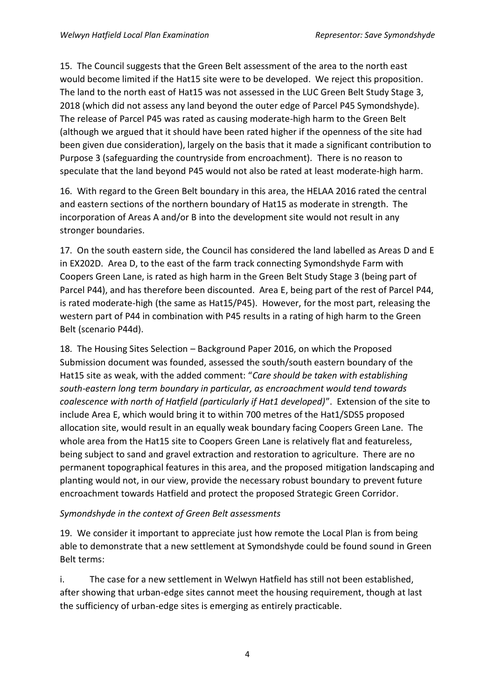15. The Council suggests that the Green Belt assessment of the area to the north east would become limited if the Hat15 site were to be developed. We reject this proposition. The land to the north east of Hat15 was not assessed in the LUC Green Belt Study Stage 3, 2018 (which did not assess any land beyond the outer edge of Parcel P45 Symondshyde). The release of Parcel P45 was rated as causing moderate-high harm to the Green Belt (although we argued that it should have been rated higher if the openness of the site had been given due consideration), largely on the basis that it made a significant contribution to Purpose 3 (safeguarding the countryside from encroachment). There is no reason to speculate that the land beyond P45 would not also be rated at least moderate-high harm.

16. With regard to the Green Belt boundary in this area, the HELAA 2016 rated the central and eastern sections of the northern boundary of Hat15 as moderate in strength. The incorporation of Areas A and/or B into the development site would not result in any stronger boundaries.

17. On the south eastern side, the Council has considered the land labelled as Areas D and E in EX202D. Area D, to the east of the farm track connecting Symondshyde Farm with Coopers Green Lane, is rated as high harm in the Green Belt Study Stage 3 (being part of Parcel P44), and has therefore been discounted. Area E, being part of the rest of Parcel P44, is rated moderate-high (the same as Hat15/P45). However, for the most part, releasing the western part of P44 in combination with P45 results in a rating of high harm to the Green Belt (scenario P44d).

18. The Housing Sites Selection – Background Paper 2016, on which the Proposed Submission document was founded, assessed the south/south eastern boundary of the Hat15 site as weak, with the added comment: "*Care should be taken with establishing south-eastern long term boundary in particular, as encroachment would tend towards coalescence with north of Hatfield (particularly if Hat1 developed)*". Extension of the site to include Area E, which would bring it to within 700 metres of the Hat1/SDS5 proposed allocation site, would result in an equally weak boundary facing Coopers Green Lane. The whole area from the Hat15 site to Coopers Green Lane is relatively flat and featureless, being subject to sand and gravel extraction and restoration to agriculture. There are no permanent topographical features in this area, and the proposed mitigation landscaping and planting would not, in our view, provide the necessary robust boundary to prevent future encroachment towards Hatfield and protect the proposed Strategic Green Corridor.

# *Symondshyde in the context of Green Belt assessments*

19. We consider it important to appreciate just how remote the Local Plan is from being able to demonstrate that a new settlement at Symondshyde could be found sound in Green Belt terms:

i. The case for a new settlement in Welwyn Hatfield has still not been established, after showing that urban-edge sites cannot meet the housing requirement, though at last the sufficiency of urban-edge sites is emerging as entirely practicable.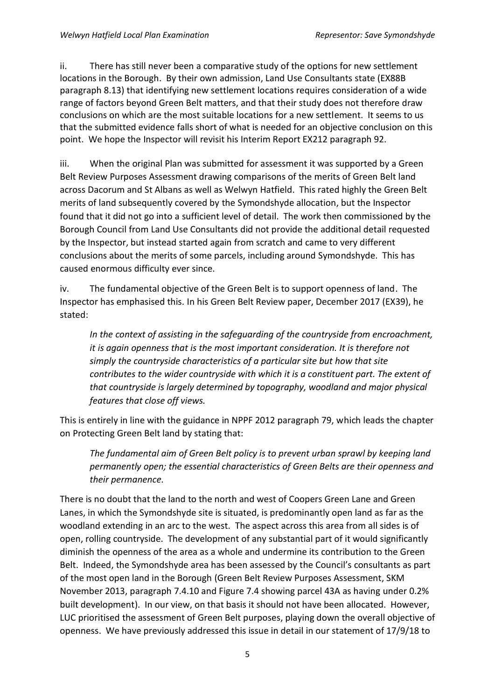ii. There has still never been a comparative study of the options for new settlement locations in the Borough. By their own admission, Land Use Consultants state (EX88B paragraph 8.13) that identifying new settlement locations requires consideration of a wide range of factors beyond Green Belt matters, and that their study does not therefore draw conclusions on which are the most suitable locations for a new settlement. It seems to us that the submitted evidence falls short of what is needed for an objective conclusion on this point. We hope the Inspector will revisit his Interim Report EX212 paragraph 92.

iii. When the original Plan was submitted for assessment it was supported by a Green Belt Review Purposes Assessment drawing comparisons of the merits of Green Belt land across Dacorum and St Albans as well as Welwyn Hatfield. This rated highly the Green Belt merits of land subsequently covered by the Symondshyde allocation, but the Inspector found that it did not go into a sufficient level of detail. The work then commissioned by the Borough Council from Land Use Consultants did not provide the additional detail requested by the Inspector, but instead started again from scratch and came to very different conclusions about the merits of some parcels, including around Symondshyde. This has caused enormous difficulty ever since.

iv. The fundamental objective of the Green Belt is to support openness of land. The Inspector has emphasised this. In his Green Belt Review paper, December 2017 (EX39), he stated:

*In the context of assisting in the safeguarding of the countryside from encroachment, it is again openness that is the most important consideration. It is therefore not simply the countryside characteristics of a particular site but how that site contributes to the wider countryside with which it is a constituent part. The extent of that countryside is largely determined by topography, woodland and major physical features that close off views.*

This is entirely in line with the guidance in NPPF 2012 paragraph 79, which leads the chapter on Protecting Green Belt land by stating that:

*The fundamental aim of Green Belt policy is to prevent urban sprawl by keeping land permanently open; the essential characteristics of Green Belts are their openness and their permanence.*

There is no doubt that the land to the north and west of Coopers Green Lane and Green Lanes, in which the Symondshyde site is situated, is predominantly open land as far as the woodland extending in an arc to the west. The aspect across this area from all sides is of open, rolling countryside. The development of any substantial part of it would significantly diminish the openness of the area as a whole and undermine its contribution to the Green Belt. Indeed, the Symondshyde area has been assessed by the Council's consultants as part of the most open land in the Borough (Green Belt Review Purposes Assessment, SKM November 2013, paragraph 7.4.10 and Figure 7.4 showing parcel 43A as having under 0.2% built development). In our view, on that basis it should not have been allocated. However, LUC prioritised the assessment of Green Belt purposes, playing down the overall objective of openness. We have previously addressed this issue in detail in our statement of 17/9/18 to